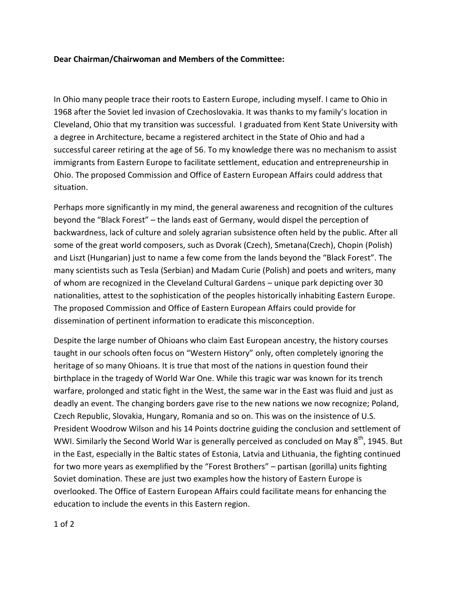## **Dear Chairman/Chairwoman and Members of the Committee:**

In Ohio many people trace their roots to Eastern Europe, including myself. I came to Ohio in 1968 after the Soviet led invasion of Czechoslovakia. It was thanks to my family's location in Cleveland, Ohio that my transition was successful. I graduated from Kent State University with a degree in Architecture, became a registered architect in the State of Ohio and had a successful career retiring at the age of 56. To my knowledge there was no mechanism to assist immigrants from Eastern Europe to facilitate settlement, education and entrepreneurship in Ohio. The proposed Commission and Office of Eastern European Affairs could address that situation.

Perhaps more significantly in my mind, the general awareness and recognition of the cultures beyond the "Black Forest" – the lands east of Germany, would dispel the perception of backwardness, lack of culture and solely agrarian subsistence often held by the public. After all some of the great world composers, such as Dvorak (Czech), Smetana(Czech), Chopin (Polish) and Liszt (Hungarian) just to name a few come from the lands beyond the "Black Forest". The many scientists such as Tesla (Serbian) and Madam Curie (Polish) and poets and writers, many of whom are recognized in the Cleveland Cultural Gardens – unique park depicting over 30 nationalities, attest to the sophistication of the peoples historically inhabiting Eastern Europe. The proposed Commission and Office of Eastern European Affairs could provide for dissemination of pertinent information to eradicate this misconception.

Despite the large number of Ohioans who claim East European ancestry, the history courses taught in our schools often focus on "Western History" only, often completely ignoring the heritage of so many Ohioans. It is true that most of the nations in question found their birthplace in the tragedy of World War One. While this tragic war was known for its trench warfare, prolonged and static fight in the West, the same war in the East was fluid and just as deadly an event. The changing borders gave rise to the new nations we now recognize; Poland, Czech Republic, Slovakia, Hungary, Romania and so on. This was on the insistence of U.S. President Woodrow Wilson and his 14 Points doctrine guiding the conclusion and settlement of WWI. Similarly the Second World War is generally perceived as concluded on May 8<sup>th</sup>, 1945. But in the East, especially in the Baltic states of Estonia, Latvia and Lithuania, the fighting continued for two more years as exemplified by the "Forest Brothers" – partisan (gorilla) units fighting Soviet domination. These are just two examples how the history of Eastern Europe is overlooked. The Office of Eastern European Affairs could facilitate means for enhancing the education to include the events in this Eastern region.